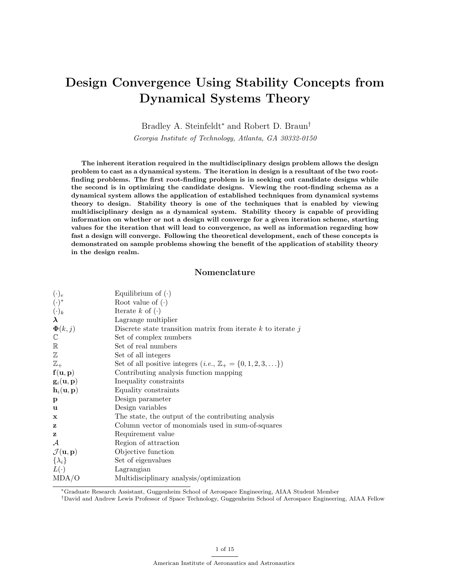# Design Convergence Using Stability Concepts from Dynamical Systems Theory

Bradley A. Steinfeldt<sup>∗</sup> and Robert D. Braun†

Georgia Institute of Technology, Atlanta, GA 30332-0150

The inherent iteration required in the multidisciplinary design problem allows the design problem to cast as a dynamical system. The iteration in design is a resultant of the two rootfinding problems. The first root-finding problem is in seeking out candidate designs while the second is in optimizing the candidate designs. Viewing the root-finding schema as a dynamical system allows the application of established techniques from dynamical systems theory to design. Stability theory is one of the techniques that is enabled by viewing multidisciplinary design as a dynamical system. Stability theory is capable of providing information on whether or not a design will converge for a given iteration scheme, starting values for the iteration that will lead to convergence, as well as information regarding how fast a design will converge. Following the theoretical development, each of these concepts is demonstrated on sample problems showing the benefit of the application of stability theory in the design realm.

# Nomenclature

| $(\cdot)_e$                           | Equilibrium of $(\cdot)$                                                     |
|---------------------------------------|------------------------------------------------------------------------------|
| $(\cdot)^*$                           | Root value of $(\cdot)$                                                      |
| $(\cdot)_k$                           | Iterate $k$ of $(\cdot)$                                                     |
| $\lambda$                             | Lagrange multiplier                                                          |
| $\mathbf{\Phi}(k,j)$                  | Discrete state transition matrix from iterate $k$ to iterate $j$             |
| $\mathbb C$                           | Set of complex numbers                                                       |
| $\mathbb R$                           | Set of real numbers                                                          |
| $\mathbb Z$                           | Set of all integers                                                          |
| $\mathbb{Z}_+$                        | Set of all positive integers $(i.e., \mathbb{Z}_+ = \{0, 1, 2, 3, \ldots\})$ |
| f(u, p)                               | Contributing analysis function mapping                                       |
| $\mathbf{g}_i(\mathbf{u},\mathbf{p})$ | Inequality constraints                                                       |
| $\mathbf{h}_i(\mathbf{u},\mathbf{p})$ | Equality constraints                                                         |
| $\mathbf{p}$                          | Design parameter                                                             |
| u                                     | Design variables                                                             |
| x                                     | The state, the output of the contributing analysis                           |
| z                                     | Column vector of monomials used in sum-of-squares                            |
| z                                     | Requirement value                                                            |
| $\mathcal A$                          | Region of attraction                                                         |
| $\mathcal{J}(\mathbf{u},\mathbf{p})$  | Objective function                                                           |
| $\{\lambda_i\}$                       | Set of eigenvalues                                                           |
| $L(\cdot)$                            | Lagrangian                                                                   |
| MDA/O                                 | Multidisciplinary analysis/optimization                                      |

<sup>∗</sup>Graduate Research Assistant, Guggenheim School of Aerospace Engineering, AIAA Student Member

†David and Andrew Lewis Professor of Space Technology, Guggenheim School of Aerospace Engineering, AIAA Fellow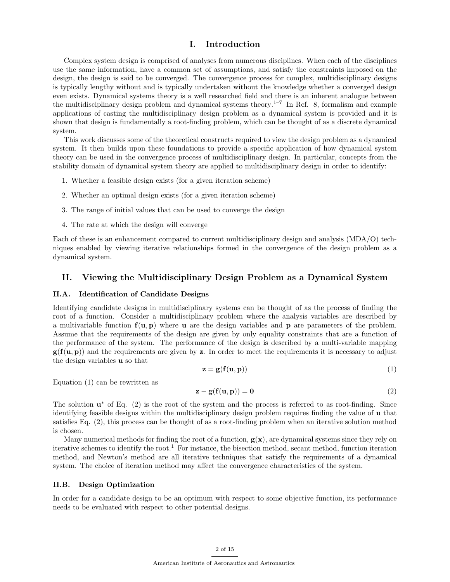# I. Introduction

Complex system design is comprised of analyses from numerous disciplines. When each of the disciplines use the same information, have a common set of assumptions, and satisfy the constraints imposed on the design, the design is said to be converged. The convergence process for complex, multidisciplinary designs is typically lengthy without and is typically undertaken without the knowledge whether a converged design even exists. Dynamical systems theory is a well researched field and there is an inherent analogue between the multidisciplinary design problem and dynamical systems theory.<sup>1–7</sup> In Ref. 8, formalism and example applications of casting the multidisciplinary design problem as a dynamical system is provided and it is shown that design is fundamentally a root-finding problem, which can be thought of as a discrete dynamical system.

This work discusses some of the theoretical constructs required to view the design problem as a dynamical system. It then builds upon these foundations to provide a specific application of how dynamical system theory can be used in the convergence process of multidisciplinary design. In particular, concepts from the stability domain of dynamical system theory are applied to multidisciplinary design in order to identify:

- 1. Whether a feasible design exists (for a given iteration scheme)
- 2. Whether an optimal design exists (for a given iteration scheme)
- 3. The range of initial values that can be used to converge the design
- 4. The rate at which the design will converge

Each of these is an enhancement compared to current multidisciplinary design and analysis (MDA/O) techniques enabled by viewing iterative relationships formed in the convergence of the design problem as a dynamical system.

## II. Viewing the Multidisciplinary Design Problem as a Dynamical System

#### II.A. Identification of Candidate Designs

Identifying candidate designs in multidisciplinary systems can be thought of as the process of finding the root of a function. Consider a multidisciplinary problem where the analysis variables are described by a multivariable function  $f(u, p)$  where u are the design variables and p are parameters of the problem. Assume that the requirements of the design are given by only equality constraints that are a function of the performance of the system. The performance of the design is described by a multi-variable mapping  $g(f(u, p))$  and the requirements are given by z. In order to meet the requirements it is necessary to adjust the design variables u so that

$$
\mathbf{z} = \mathbf{g}(\mathbf{f}(\mathbf{u}, \mathbf{p})) \tag{1}
$$

Equation (1) can be rewritten as

$$
\mathbf{z} - \mathbf{g}(\mathbf{f}(\mathbf{u}, \mathbf{p})) = \mathbf{0} \tag{2}
$$

The solution  $\mathbf{u}^*$  of Eq. (2) is the root of the system and the process is referred to as root-finding. Since identifying feasible designs within the multidisciplinary design problem requires finding the value of u that satisfies Eq. (2), this process can be thought of as a root-finding problem when an iterative solution method is chosen.

Many numerical methods for finding the root of a function,  $g(x)$ , are dynamical systems since they rely on iterative schemes to identify the root.<sup>1</sup> For instance, the bisection method, secant method, function iteration method, and Newton's method are all iterative techniques that satisfy the requirements of a dynamical system. The choice of iteration method may affect the convergence characteristics of the system.

#### II.B. Design Optimization

In order for a candidate design to be an optimum with respect to some objective function, its performance needs to be evaluated with respect to other potential designs.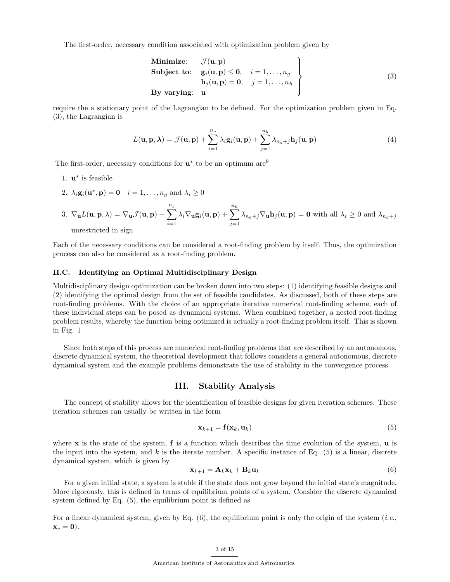The first-order, necessary condition associated with optimization problem given by

Minimize: 
$$
\mathcal{J}(\mathbf{u}, \mathbf{p})
$$
  
\nSubject to:  $g_i(\mathbf{u}, \mathbf{p}) \leq 0$ ,  $i = 1, ..., n_g$   
\n $h_j(\mathbf{u}, \mathbf{p}) = 0$ ,  $j = 1, ..., n_h$   
\nBy varying:  $\mathbf{u}$  (3)

require the a stationary point of the Lagrangian to be defined. For the optimization problem given in Eq. (3), the Lagrangian is

$$
L(\mathbf{u}, \mathbf{p}, \boldsymbol{\lambda}) = \mathcal{J}(\mathbf{u}, \mathbf{p}) + \sum_{i=1}^{n_g} \lambda_i \mathbf{g}_i(\mathbf{u}, \mathbf{p}) + \sum_{j=1}^{n_h} \lambda_{n_g + j} \mathbf{h}_j(\mathbf{u}, \mathbf{p})
$$
(4)

The first-order, necessary conditions for  $\mathbf{u}^*$  to be an optimum are<sup>9</sup>

- 1. **u**<sup>\*</sup> is feasible
- 2.  $\lambda_i \mathbf{g}_i(\mathbf{u}^*, \mathbf{p}) = \mathbf{0}$   $i = 1, \dots, n_g$  and  $\lambda_i \geq 0$

3. 
$$
\nabla_{\mathbf{u}}L(\mathbf{u}, \mathbf{p}, \lambda) = \nabla_{\mathbf{u}}\mathcal{J}(\mathbf{u}, \mathbf{p}) + \sum_{i=1}^{n_g} \lambda_i \nabla_{\mathbf{u}}\mathbf{g}_i(\mathbf{u}, \mathbf{p}) + \sum_{j=1}^{n_h} \lambda_{n_g + j} \nabla_{\mathbf{u}}\mathbf{h}_j(\mathbf{u}, \mathbf{p}) = \mathbf{0}
$$
 with all  $\lambda_i \ge 0$  and  $\lambda_{n_g + j}$ 

unrestricted in sign

Each of the necessary conditions can be considered a root-finding problem by itself. Thus, the optimization process can also be considered as a root-finding problem.

## II.C. Identifying an Optimal Multidisciplinary Design

Multidisciplinary design optimization can be broken down into two steps: (1) identifying feasible designs and (2) identifying the optimal design from the set of feasible candidates. As discussed, both of these steps are root-finding problems. With the choice of an appropriate iterative numerical root-finding scheme, each of these individual steps can be posed as dynamical systems. When combined together, a nested root-finding problem results, whereby the function being optimized is actually a root-finding problem itself. This is shown in Fig. 1

Since both steps of this process are numerical root-finding problems that are described by an autonomous, discrete dynamical system, the theoretical development that follows considers a general autonomous, discrete dynamical system and the example problems demonstrate the use of stability in the convergence process.

## III. Stability Analysis

The concept of stability allows for the identification of feasible designs for given iteration schemes. These iteration schemes can usually be written in the form

$$
\mathbf{x}_{k+1} = \mathbf{f}(\mathbf{x}_k, \mathbf{u}_k) \tag{5}
$$

where  $x$  is the state of the system,  $f$  is a function which describes the time evolution of the system,  $u$  is the input into the system, and  $k$  is the iterate number. A specific instance of Eq. (5) is a linear, discrete dynamical system, which is given by

$$
\mathbf{x}_{k+1} = \mathbf{A}_k \mathbf{x}_k + \mathbf{B}_k \mathbf{u}_k \tag{6}
$$

For a given initial state, a system is stable if the state does not grow beyond the initial state's magnitude. More rigorously, this is defined in terms of equilibrium points of a system. Consider the discrete dynamical system defined by Eq. (5), the equilibrium point is defined as

For a linear dynamical system, given by Eq.  $(6)$ , the equilibrium point is only the origin of the system (*i.e.*,  $\mathbf{x}_e = \mathbf{0}$ .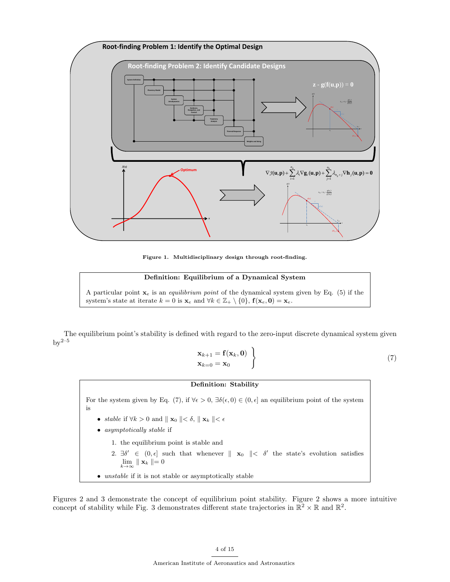

Figure 1. Multidisciplinary design through root-finding.

### Definition: Equilibrium of a Dynamical System

A particular point  $\mathbf{x}_e$  is an *equilibrium point* of the dynamical system given by Eq. (5) if the system's state at iterate  $k = 0$  is  $\mathbf{x}_e$  and  $\forall k \in \mathbb{Z}_+ \setminus \{0\}$ ,  $\mathbf{f}(\mathbf{x}_e, \mathbf{0}) = \mathbf{x}_e$ .

The equilibrium point's stability is defined with regard to the zero-input discrete dynamical system given  $by^{2-5}$ 

$$
\mathbf{x}_{k+1} = \mathbf{f}(\mathbf{x}_k, \mathbf{0}) \quad \left\} \tag{7}
$$
\n
$$
\mathbf{x}_{k=0} = \mathbf{x}_0 \tag{7}
$$

## Definition: Stability

For the system given by Eq. (7), if  $\forall \epsilon > 0$ ,  $\exists \delta(\epsilon, 0) \in (0, \epsilon]$  an equilibrium point of the system is

- stable if  $\forall k > 0$  and  $\parallel \mathbf{x}_0 \parallel < \delta$ ,  $\parallel \mathbf{x}_k \parallel < \epsilon$
- asymptotically stable if
	- 1. the equilibrium point is stable and
	- 2.  $\exists \delta' \in (0, \epsilon]$  such that whenever  $\parallel \mathbf{x}_0 \parallel < \delta'$  the state's evolution satisfies  $\lim_{k\to\infty}$   $\parallel$  **x**<sub>k</sub>  $\parallel$  = 0
- unstable if it is not stable or asymptotically stable

Figures 2 and 3 demonstrate the concept of equilibrium point stability. Figure 2 shows a more intuitive concept of stability while Fig. 3 demonstrates different state trajectories in  $\mathbb{R}^2 \times \mathbb{R}$  and  $\mathbb{R}^2$ .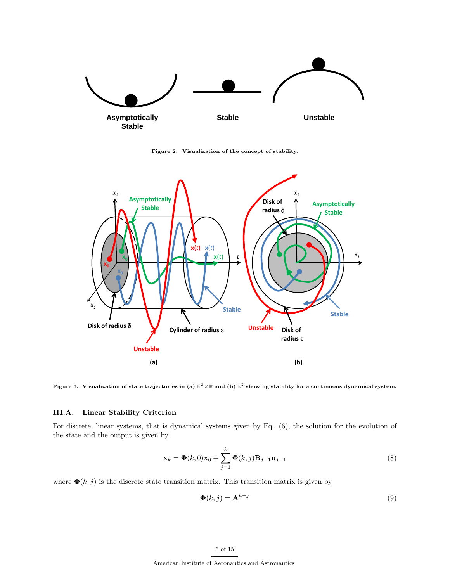

Figure 2. Visualization of the concept of stability.



Figure 3. Visualization of state trajectories in (a)  $\R^2 \times \R$  and (b)  $\R^2$  showing stability for a continuous dynamical system.

# III.A. Linear Stability Criterion

For discrete, linear systems, that is dynamical systems given by Eq. (6), the solution for the evolution of the state and the output is given by

$$
\mathbf{x}_k = \mathbf{\Phi}(k,0)\mathbf{x}_0 + \sum_{j=1}^k \mathbf{\Phi}(k,j)\mathbf{B}_{j-1}\mathbf{u}_{j-1}
$$
\n(8)

where  $\mathbf{\Phi}(k, j)$  is the discrete state transition matrix. This transition matrix is given by

$$
\mathbf{\Phi}(k,j) = \mathbf{A}^{k-j} \tag{9}
$$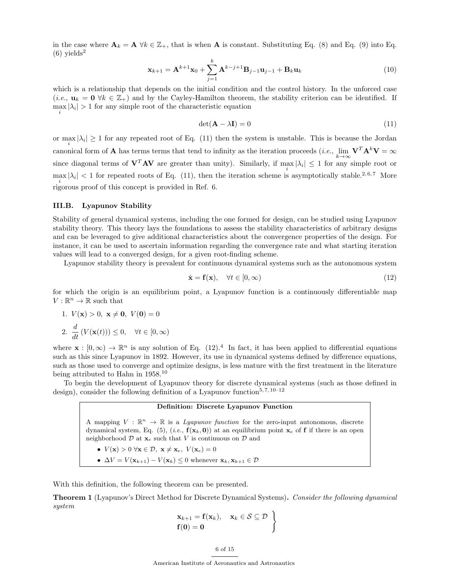in the case where  $\mathbf{A}_k = \mathbf{A} \ \forall k \in \mathbb{Z}_+$ , that is when  $\mathbf{A}$  is constant. Substituting Eq. (8) and Eq. (9) into Eq.  $(6)$  yields<sup>2</sup>

$$
\mathbf{x}_{k+1} = \mathbf{A}^{k+1} \mathbf{x}_0 + \sum_{j=1}^k \mathbf{A}^{k-j+1} \mathbf{B}_{j-1} \mathbf{u}_{j-1} + \mathbf{B}_k \mathbf{u}_k
$$
(10)

which is a relationship that depends on the initial condition and the control history. In the unforced case (*i.e.*,  $\mathbf{u}_k = \mathbf{0} \ \forall k \in \mathbb{Z}_+$ ) and by the Cayley-Hamilton theorem, the stability criterion can be identified. If  $\max_i |\lambda_i| > 1$  for any simple root of the characteristic equation

$$
\det(\mathbf{A} - \lambda \mathbf{I}) = 0 \tag{11}
$$

or max  $|\lambda_i| \geq 1$  for any repeated root of Eq. (11) then the system is unstable. This is because the Jordan i canonical form of **A** has terms terms that tend to infinity as the iteration proceeds (*i.e.*,  $\lim_{k\to\infty} \mathbf{V}^T \mathbf{A}^k \mathbf{V} = \infty$ since diagonal terms of  $V^TAV$  are greater than unity). Similarly, if  $\max_i |\lambda_i| \leq 1$  for any simple root or  $\max |\lambda_i| < 1$  for repeated roots of Eq. (11), then the iteration scheme is asymptotically stable.<sup>2,6,7</sup> More i rigorous proof of this concept is provided in Ref. 6.

## III.B. Lyapunov Stability

Stability of general dynamical systems, including the one formed for design, can be studied using Lyapunov stability theory. This theory lays the foundations to assess the stability characteristics of arbitrary designs and can be leveraged to give additional characteristics about the convergence properties of the design. For instance, it can be used to ascertain information regarding the convergence rate and what starting iteration values will lead to a converged design, for a given root-finding scheme.

Lyapunov stability theory is prevalent for continuous dynamical systems such as the autonomous system

$$
\dot{\mathbf{x}} = \mathbf{f}(\mathbf{x}), \quad \forall t \in [0, \infty)
$$
\n<sup>(12)</sup>

for which the origin is an equilibrium point, a Lyapunov function is a continuously differentiable map  $V:\mathbb{R}^n\rightarrow\mathbb{R}$  such that

1.  $V(\mathbf{x}) > 0$ ,  $\mathbf{x} \neq \mathbf{0}$ ,  $V(\mathbf{0}) = 0$ 2.  $\frac{d}{dt} (V(\mathbf{x}(t))) \leq 0, \quad \forall t \in [0, \infty)$ 

where  $\mathbf{x} : [0, \infty) \to \mathbb{R}^n$  is any solution of Eq. (12).<sup>4</sup> In fact, it has been applied to differential equations such as this since Lyapunov in 1892. However, its use in dynamical systems defined by difference equations, such as those used to converge and optimize designs, is less mature with the first treatment in the literature being attributed to Hahn in 1958.<sup>10</sup>

To begin the development of Lyapunov theory for discrete dynamical systems (such as those defined in design), consider the following definition of a Lyapunov function<sup>5,7, 10–12</sup>

#### Definition: Discrete Lyapunov Function

A mapping  $V : \mathbb{R}^n \to \mathbb{R}$  is a *Lyapunov function* for the zero-input autonomous, discrete dynamical system, Eq. (5), (i.e.,  $f(x_k, 0)$  at an equilibrium point  $x_e$  of f if there is an open neighborhood  $D$  at  $\mathbf{x}_e$  such that V is continuous on  $D$  and

- $V(\mathbf{x}) > 0 \ \forall \mathbf{x} \in \mathcal{D}, \ \mathbf{x} \neq \mathbf{x}_e, \ V(\mathbf{x}_e) = 0$
- $\Delta V = V(\mathbf{x}_{k+1}) V(\mathbf{x}_k) \leq 0$  whenever  $\mathbf{x}_k, \mathbf{x}_{k+1} \in \mathcal{D}$

With this definition, the following theorem can be presented.

Theorem 1 (Lyapunov's Direct Method for Discrete Dynamical Systems). Consider the following dynamical system

$$
\left.\begin{array}{l}\mathbf{x}_{k+1}=\mathbf{f}(\mathbf{x}_k),\quad \mathbf{x}_k\in\mathcal{S}\subseteq\mathcal{D}\\ \mathbf{f}(\mathbf{0})=\mathbf{0}\end{array}\right\}
$$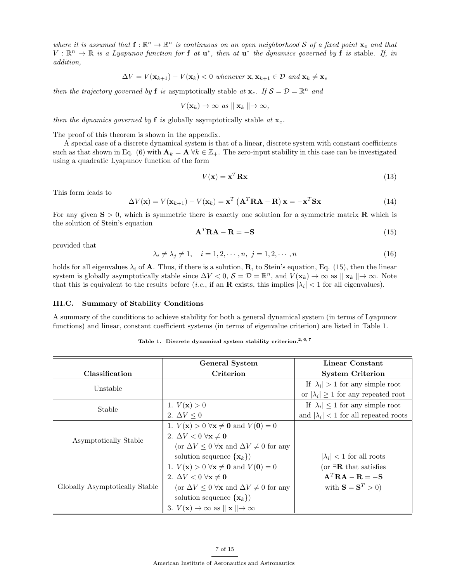where it is assumed that  $f: \mathbb{R}^n \to \mathbb{R}^n$  is continuous on an open neighborhood S of a fixed point  $x_e$  and that  $V: \mathbb{R}^n \to \mathbb{R}$  is a Lyapunov function for **f** at  $\mathbf{u}^*$ , then at  $\mathbf{u}^*$  the dynamics governed by **f** is stable. If, in addition,

$$
\Delta V = V(\mathbf{x}_{k+1}) - V(\mathbf{x}_k) < 0 \text{ whenever } \mathbf{x}, \mathbf{x}_{k+1} \in \mathcal{D} \text{ and } \mathbf{x}_k \neq \mathbf{x}_e
$$

then the trajectory governed by **f** is asymptotically stable at  $\mathbf{x}_e$ . If  $\mathcal{S} = \mathcal{D} = \mathbb{R}^n$  and

$$
V(\mathbf{x}_k) \to \infty \ \ as \ \| \ \mathbf{x}_k \ \| \to \infty,
$$

then the dynamics governed by **f** is globally asymptotically stable at  $\mathbf{x}_e$ .

The proof of this theorem is shown in the appendix.

A special case of a discrete dynamical system is that of a linear, discrete system with constant coefficients such as that shown in Eq. (6) with  $\mathbf{A}_k = \mathbf{A} \ \forall k \in \mathbb{Z}_+$ . The zero-input stability in this case can be investigated using a quadratic Lyapunov function of the form

$$
V(\mathbf{x}) = \mathbf{x}^T \mathbf{R} \mathbf{x} \tag{13}
$$

This form leads to

$$
\Delta V(\mathbf{x}) = V(\mathbf{x}_{k+1}) - V(\mathbf{x}_k) = \mathbf{x}^T \left( \mathbf{A}^T \mathbf{R} \mathbf{A} - \mathbf{R} \right) \mathbf{x} = -\mathbf{x}^T \mathbf{S} \mathbf{x}
$$
(14)

For any given  $S > 0$ , which is symmetric there is exactly one solution for a symmetric matrix **R** which is the solution of Stein's equation

$$
\mathbf{A}^T \mathbf{R} \mathbf{A} - \mathbf{R} = -\mathbf{S} \tag{15}
$$

provided that

$$
\lambda_i \neq \lambda_j \neq 1, \quad i = 1, 2, \cdots, n, \ j = 1, 2, \cdots, n
$$
\n
$$
(16)
$$

holds for all eigenvalues  $\lambda_i$  of **A**. Thus, if there is a solution, **R**, to Stein's equation, Eq. (15), then the linear system is globally asymptotically stable since  $\Delta V < 0$ ,  $\mathcal{S} = \mathcal{D} = \mathbb{R}^n$ , and  $V(\mathbf{x}_k) \to \infty$  as  $\|\mathbf{x}_k\| \to \infty$ . Note that this is equivalent to the results before (*i.e.*, if an **R** exists, this implies  $|\lambda_i| < 1$  for all eigenvalues).

## III.C. Summary of Stability Conditions

A summary of the conditions to achieve stability for both a general dynamical system (in terms of Lyapunov functions) and linear, constant coefficient systems (in terms of eigenvalue criterion) are listed in Table 1.

Table 1. Discrete dynamical system stability criterion.<sup>2, 6, 7</sup>

|                                | General System                                                                      | Linear Constant                               |
|--------------------------------|-------------------------------------------------------------------------------------|-----------------------------------------------|
| Classification                 | Criterion                                                                           | <b>System Criterion</b>                       |
| Unstable                       |                                                                                     | If $ \lambda_i  > 1$ for any simple root      |
|                                |                                                                                     | or $ \lambda_i  \geq 1$ for any repeated root |
| Stable                         | 1. $V(\mathbf{x}) > 0$                                                              | If $ \lambda_i  \leq 1$ for any simple root   |
|                                | 2. $\Delta V \leq 0$                                                                | and $ \lambda_i $ < 1 for all repeated roots  |
|                                | 1. $V(\mathbf{x}) > 0 \ \forall \mathbf{x} \neq \mathbf{0}$ and $V(\mathbf{0}) = 0$ |                                               |
| Asymptotically Stable          | 2. $\Delta V < 0 \ \forall \mathbf{x} \neq \mathbf{0}$                              |                                               |
|                                | (or $\Delta V \leq 0$ $\forall$ <b>x</b> and $\Delta V \neq 0$ for any              |                                               |
|                                | solution sequence $\{\mathbf x_k\}$                                                 | $ \lambda_i $ < 1 for all roots               |
|                                | 1. $V(\mathbf{x}) > 0 \ \forall \mathbf{x} \neq \mathbf{0}$ and $V(\mathbf{0}) = 0$ | (or $\exists \mathbf{R}$ that satisfies       |
|                                | 2. $\Delta V < 0 \ \forall \mathbf{x} \neq \mathbf{0}$                              | $A^T R A - R = -S$                            |
| Globally Asymptotically Stable | (or $\Delta V \leq 0$ $\forall$ <b>x</b> and $\Delta V \neq 0$ for any              | with $\mathbf{S} = \mathbf{S}^T > 0$          |
|                                | solution sequence $\{x_k\}$                                                         |                                               |
|                                | 3. $V(\mathbf{x}) \to \infty$ as $\ \mathbf{x}\  \to \infty$                        |                                               |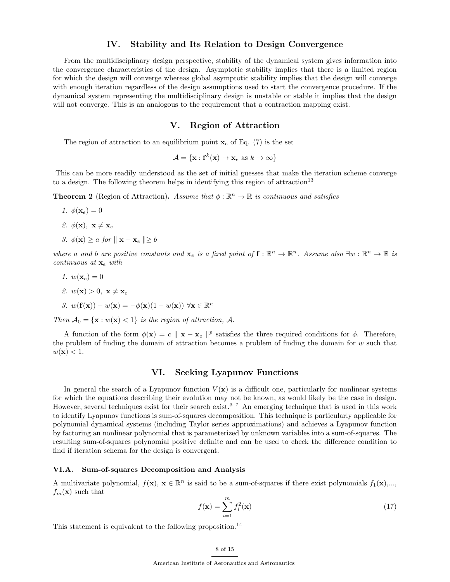## IV. Stability and Its Relation to Design Convergence

From the multidisciplinary design perspective, stability of the dynamical system gives information into the convergence characteristics of the design. Asymptotic stability implies that there is a limited region for which the design will converge whereas global asymptotic stability implies that the design will converge with enough iteration regardless of the design assumptions used to start the convergence procedure. If the dynamical system representing the multidisciplinary design is unstable or stable it implies that the design will not converge. This is an analogous to the requirement that a contraction mapping exist.

## V. Region of Attraction

The region of attraction to an equilibrium point  $x_e$  of Eq. (7) is the set

$$
\mathcal{A} = \{ \mathbf{x} : \mathbf{f}^k(\mathbf{x}) \to \mathbf{x}_e \text{ as } k \to \infty \}
$$

This can be more readily understood as the set of initial guesses that make the iteration scheme converge to a design. The following theorem helps in identifying this region of attraction<sup>13</sup>

**Theorem 2** (Region of Attraction). Assume that  $\phi : \mathbb{R}^n \to \mathbb{R}$  is continuous and satisfies

1.  $\phi(\mathbf{x}_e) = 0$ 2.  $\phi(\mathbf{x}), \mathbf{x} \neq \mathbf{x}_e$ 3.  $\phi(\mathbf{x}) > a$  for  $\|\mathbf{x} - \mathbf{x}_e\| > b$ 

where a and b are positive constants and  $\mathbf{x}_e$  is a fixed point of  $\mathbf{f} : \mathbb{R}^n \to \mathbb{R}^n$ . Assume also  $\exists w : \mathbb{R}^n \to \mathbb{R}$  is continuous at  $\mathbf{x}_e$  with

1.  $w(\mathbf{x}_e) = 0$ 2.  $w(\mathbf{x}) > 0$ ,  $\mathbf{x} \neq \mathbf{x}_e$ 3.  $w(\mathbf{f}(\mathbf{x})) - w(\mathbf{x}) = -\phi(\mathbf{x})(1 - w(\mathbf{x})) \ \forall \mathbf{x} \in \mathbb{R}^n$ 

Then  $A_0 = {\mathbf{x} : w(\mathbf{x}) < 1}$  is the region of attraction, A.

A function of the form  $\phi(\mathbf{x}) = c \|\mathbf{x} - \mathbf{x}_e\|^p$  satisfies the three required conditions for  $\phi$ . Therefore, the problem of finding the domain of attraction becomes a problem of finding the domain for  $w$  such that  $w(\mathbf{x}) < 1$ .

## VI. Seeking Lyapunov Functions

In general the search of a Lyapunov function  $V(\mathbf{x})$  is a difficult one, particularly for nonlinear systems for which the equations describing their evolution may not be known, as would likely be the case in design. However, several techniques exist for their search exist.<sup>3–7</sup> An emerging technique that is used in this work to identify Lyapunov functions is sum-of-squares decomposition. This technique is particularly applicable for polynomial dynamical systems (including Taylor series approximations) and achieves a Lyapunov function by factoring an nonlinear polynomial that is parameterized by unknown variables into a sum-of-squares. The resulting sum-of-squares polynomial positive definite and can be used to check the difference condition to find if iteration schema for the design is convergent.

## VI.A. Sum-of-squares Decomposition and Analysis

A multivariate polynomial,  $f(\mathbf{x}), \mathbf{x} \in \mathbb{R}^n$  is said to be a sum-of-squares if there exist polynomials  $f_1(\mathbf{x}),...$  $f_m(\mathbf{x})$  such that

$$
f(\mathbf{x}) = \sum_{i=1}^{m} f_i^2(\mathbf{x})
$$
\n(17)

This statement is equivalent to the following proposition.<sup>14</sup>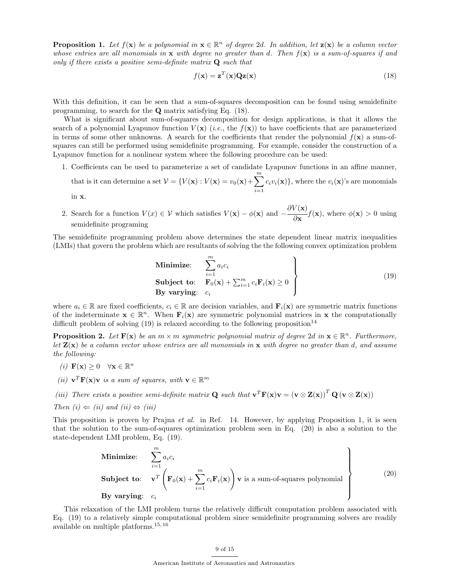**Proposition 1.** Let  $f(\mathbf{x})$  be a polynomial in  $\mathbf{x} \in \mathbb{R}^n$  of degree 2d. In addition, let  $\mathbf{z}(\mathbf{x})$  be a column vector whose entries are all monomials in  $x$  with degree no greater than d. Then  $f(x)$  is a sum-of-squares if and only if there exists a positive semi-definite matrix  $\mathbf Q$  such that

$$
f(\mathbf{x}) = \mathbf{z}^T(\mathbf{x})\mathbf{Q}\mathbf{z}(\mathbf{x})
$$
\n(18)

With this definition, it can be seen that a sum-of-squares decomposition can be found using semidefinite programming, to search for the Q matrix satisfying Eq. (18).

What is significant about sum-of-squares decomposition for design applications, is that it allows the search of a polynomial Lyapunov function  $V(\mathbf{x})$  (*i.e.*, the  $f(\mathbf{x})$ ) to have coefficients that are parameterized in terms of some other unknowns. A search for the coefficients that render the polynomial  $f(\mathbf{x})$  a sum-ofsquares can still be performed using semidefinite programming. For example, consider the construction of a Lyapunov function for a nonlinear system where the following procedure can be used:

1. Coefficients can be used to parameterize a set of candidate Lyapunov functions in an affine manner, that is it can determine a set  $\mathcal{V} = \{V(\mathbf{x}) : V(\mathbf{x}) = v_0(\mathbf{x}) + \sum_{i=1}^{m} \mathcal{V}(\mathbf{x})\}$  $i=1$  $c_i v_i(\mathbf{x})\},\$  where the  $v_i(\mathbf{x})\$ 's are monomials

in x.

2. Search for a function  $V(x) \in V$  which satisfies  $V(\mathbf{x}) - \phi(\mathbf{x})$  and  $-\frac{\partial V(\mathbf{x})}{\partial \phi(\mathbf{x})}$  $\frac{\partial}{\partial \mathbf{x}} f(\mathbf{x})$ , where  $\phi(\mathbf{x}) > 0$  using semidefinite programing

The semidefinite programming problem above determines the state dependent linear matrix inequalities (LMIs) that govern the problem which are resultants of solving the the following convex optimization problem

Minimize: 
$$
\sum_{i=1}^{m} a_i c_i
$$
  
\nSubject to:  $\mathbf{F}_0(\mathbf{x}) + \sum_{i=1}^{m} c_i \mathbf{F}_i(\mathbf{x}) \ge 0$   
\nBy varying:  $c_i$  (19)

where  $a_i \in \mathbb{R}$  are fixed coefficients,  $c_i \in \mathbb{R}$  are decision variables, and  $\mathbf{F}_i(\mathbf{x})$  are symmetric matrix functions of the indeterminate  $\mathbf{x} \in \mathbb{R}^n$ . When  $\mathbf{F}_i(\mathbf{x})$  are symmetric polynomial matrices in  $\mathbf{x}$  the computationally difficult problem of solving  $(19)$  is relaxed according to the following proposition<sup>14</sup>

**Proposition 2.** Let  $F(x)$  be an  $m \times m$  symmetric polynomial matrix of degree 2d in  $x \in \mathbb{R}^n$ . Furthermore, let  $\mathbf{Z}(\mathbf{x})$  be a column vector whose entries are all monomials in  $\mathbf{x}$  with degree no greater than d, and assume the following:

- (*i*)  $\mathbf{F}(\mathbf{x}) \geq 0 \quad \forall \mathbf{x} \in \mathbb{R}^n$
- (*ii*)  $\mathbf{v}^T \mathbf{F}(\mathbf{x}) \mathbf{v}$  is a sum of squares, with  $\mathbf{v} \in \mathbb{R}^m$
- (iii) There exists a positive semi-definite matrix **Q** such that  $\mathbf{v}^T \mathbf{F}(\mathbf{x}) \mathbf{v} = (\mathbf{v} \otimes \mathbf{Z}(\mathbf{x}))^T \mathbf{Q} (\mathbf{v} \otimes \mathbf{Z}(\mathbf{x}))$

Then 
$$
(i) \Leftarrow (ii)
$$
 and  $(ii) \Leftrightarrow (iii)$ 

This proposition is proven by Prajna *et al.* in Ref. 14. However, by applying Proposition 1, it is seen that the solution to the sum-of-squares optimization problem seen in Eq. (20) is also a solution to the state-dependent LMI problem, Eq. (19).

Minimize: 
$$
\sum_{i=1}^{m} a_i c_i
$$
  
\nSubject to: 
$$
\mathbf{v}^T \left( \mathbf{F}_0(\mathbf{x}) + \sum_{i=1}^{m} c_i \mathbf{F}_i(\mathbf{x}) \right) \mathbf{v}
$$
 is a sum-of-squares polynomial  
\nBy varying:  $c_i$  (20)

This relaxation of the LMI problem turns the relatively difficult computation problem associated with Eq. (19) to a relatively simple computational problem since semidefinite programming solvers are readily available on multiple platforms.<sup>15, 16</sup>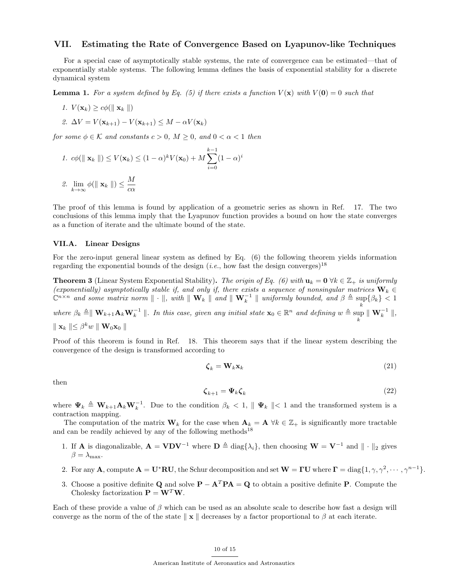## VII. Estimating the Rate of Convergence Based on Lyapunov-like Techniques

For a special case of asymptotically stable systems, the rate of convergence can be estimated—that of exponentially stable systems. The following lemma defines the basis of exponential stability for a discrete dynamical system

**Lemma 1.** For a system defined by Eq. (5) if there exists a function  $V(\mathbf{x})$  with  $V(\mathbf{0}) = 0$  such that

1.  $V(\mathbf{x}_k) > c\phi(||\mathbf{x}_k||)$ 

2. 
$$
\Delta V = V(\mathbf{x}_{k+1}) - V(\mathbf{x}_{k+1}) \leq M - \alpha V(\mathbf{x}_k)
$$

for some  $\phi \in \mathcal{K}$  and constants  $c > 0$ ,  $M \geq 0$ , and  $0 < \alpha < 1$  then

1. 
$$
c\phi(||\mathbf{x}_k||) \le V(\mathbf{x}_k) \le (1-\alpha)^k V(\mathbf{x}_0) + M \sum_{i=0}^{k-1} (1-\alpha)^i
$$

2. 
$$
\lim_{k \to \infty} \phi(\parallel \mathbf{x}_k \parallel) \leq \frac{M}{c\alpha}
$$

The proof of this lemma is found by application of a geometric series as shown in Ref. 17. The two conclusions of this lemma imply that the Lyapunov function provides a bound on how the state converges as a function of iterate and the ultimate bound of the state.

#### VII.A. Linear Designs

For the zero-input general linear system as defined by Eq. (6) the following theorem yields information regarding the exponential bounds of the design (*i.e.*, how fast the design converges)<sup>18</sup>

**Theorem 3** (Linear System Exponential Stability). The origin of Eq. (6) with  $\mathbf{u}_k = \mathbf{0} \ \forall k \in \mathbb{Z}_+$  is uniformly (exponentially) asymptotically stable if, and only if, there exists a sequence of nonsingular matrices  $\mathbf{W}_k \in$  $\mathbb{C}^{n \times n}$  and some matrix norm  $\|\cdot\|$ , with  $\|\mathbf{W}_k\|$  and  $\|\mathbf{W}_k^{-1}\|$  uniformly bounded, and  $\beta \triangleq \sup_k \{\beta_k\} < 1$ where  $\beta_k \triangleq \parallel \mathbf{W}_{k+1}\mathbf{A}_k\mathbf{W}_k^{-1} \parallel$ . In this case, given any initial state  $\mathbf{x}_0 \in \mathbb{R}^n$  and defining  $w \triangleq \sup_k \parallel \mathbf{W}_k^{-1} \parallel$ ,

 $\parallel \mathbf{x}_k \parallel \leq \beta^k w \parallel \mathbf{W}_0 \mathbf{x}_0 \parallel$ 

Proof of this theorem is found in Ref. 18. This theorem says that if the linear system describing the convergence of the design is transformed according to

$$
\boldsymbol{\zeta}_k = \mathbf{W}_k \mathbf{x}_k \tag{21}
$$

then

$$
\zeta_{k+1} = \Psi_k \zeta_k \tag{22}
$$

where  $\Psi_k \triangleq \mathbf{W}_{k+1}\mathbf{A}_k\mathbf{W}_k^{-1}$ . Due to the condition  $\beta_k < 1$ ,  $\|\Psi_k\| < 1$  and the transformed system is a contraction mapping.

The computation of the matrix  $\mathbf{W}_k$  for the case when  $\mathbf{A}_k = \mathbf{A} \ \forall k \in \mathbb{Z}_+$  is significantly more tractable and can be readily achieved by any of the following methods<sup>18</sup>

- 1. If **A** is diagonalizable,  $\mathbf{A} = \mathbf{V} \mathbf{D} \mathbf{V}^{-1}$  where  $\mathbf{D} \triangleq \text{diag}\{\lambda_i\}$ , then choosing  $\mathbf{W} = \mathbf{V}^{-1}$  and  $\|\cdot\|_2$  gives  $\beta = \lambda_{\text{max}}$ .
- 2. For any **A**, compute  $\mathbf{A} = \mathbf{U}^* \mathbf{R} \mathbf{U}$ , the Schur decomposition and set  $\mathbf{W} = \mathbf{\Gamma} \mathbf{U}$  where  $\mathbf{\Gamma} = \text{diag}\{1, \gamma, \gamma^2, \cdots, \gamma^{n-1}\}.$
- 3. Choose a positive definite Q and solve  $P A^T P A = Q$  to obtain a positive definite P. Compute the Cholesky factorization  $\mathbf{P} = \mathbf{W}^T \mathbf{W}$ .

Each of these provide a value of  $\beta$  which can be used as an absolute scale to describe how fast a design will converge as the norm of the of the state  $\|\mathbf{x}\|$  decreases by a factor proportional to  $\beta$  at each iterate.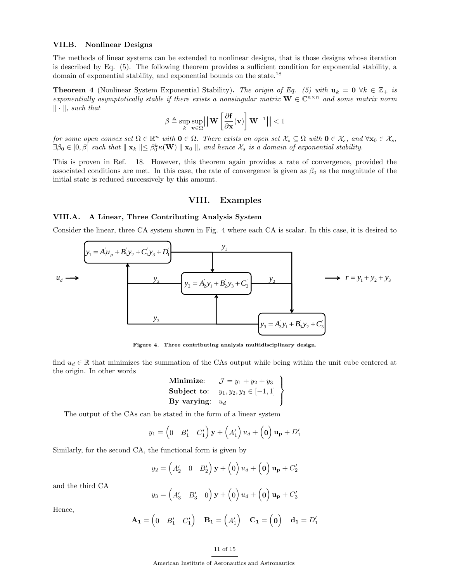## VII.B. Nonlinear Designs

The methods of linear systems can be extended to nonlinear designs, that is those designs whose iteration is described by Eq. (5). The following theorem provides a sufficient condition for exponential stability, a domain of exponential stability, and exponential bounds on the state.<sup>18</sup>

**Theorem 4** (Nonlinear System Exponential Stability). The origin of Eq. (5) with  $u_k = 0 \forall k \in \mathbb{Z}_+$  is exponentially asymptotically stable if there exists a nonsingular matrix  $\mathbf{W} \in \mathbb{C}^{n \times n}$  and some matrix norm  $\|\cdot\|$ , such that

$$
\beta \triangleq \sup_{k} \sup_{\mathbf{v} \in \Omega} \left| \left| \mathbf{W} \left[ \frac{\partial \mathbf{f}}{\partial \mathbf{x}}(\mathbf{v}) \right] \mathbf{W}^{-1} \right| \right| < 1
$$

for some open convex set  $\Omega \in \mathbb{R}^n$  with  $\mathbf{0} \in \Omega$ . There exists an open set  $\mathcal{X}_s \subseteq \Omega$  with  $\mathbf{0} \in \mathcal{X}_s$ , and  $\forall \mathbf{x}_0 \in \mathcal{X}_s$ ,  $\exists \beta_0 \in [0, \beta]$  such that  $\parallel \mathbf{x}_k \parallel \leq \beta_0^k \kappa(\mathbf{W}) \parallel \mathbf{x}_0 \parallel$ , and hence  $\mathcal{X}_s$  is a domain of exponential stability.

This is proven in Ref. 18. However, this theorem again provides a rate of convergence, provided the associated conditions are met. In this case, the rate of convergence is given as  $\beta_0$  as the magnitude of the initial state is reduced successively by this amount.

## VIII. Examples

## VIII.A. A Linear, Three Contributing Analysis System

Consider the linear, three CA system shown in Fig. 4 where each CA is scalar. In this case, it is desired to



Figure 4. Three contributing analysis multidisciplinary design.

find  $u_d \in \mathbb{R}$  that minimizes the summation of the CAs output while being within the unit cube centered at the origin. In other words

Minimize: 
$$
\mathcal{J} = y_1 + y_2 + y_3
$$
  
\nSubject to:  $y_1, y_2, y_3 \in [-1, 1]$   
\nBy varying:  $u_d$ 

The output of the CAs can be stated in the form of a linear system

$$
y_1 = \begin{pmatrix} 0 & B'_1 & C'_1 \end{pmatrix} \mathbf{y} + \begin{pmatrix} A'_1 \end{pmatrix} u_d + \begin{pmatrix} \mathbf{0} \end{pmatrix} \mathbf{u_p} + D'_1
$$

Similarly, for the second CA, the functional form is given by

$$
y_2 = \begin{pmatrix} A'_2 & 0 & B'_2 \end{pmatrix} \mathbf{y} + \begin{pmatrix} 0 \end{pmatrix} u_d + \begin{pmatrix} 0 \end{pmatrix} \mathbf{u_p} + C'_2
$$

and the third CA

$$
y_3 = \begin{pmatrix} A'_3 & B'_3 & 0 \end{pmatrix} \mathbf{y} + \begin{pmatrix} 0 \end{pmatrix} u_d + \begin{pmatrix} 0 \end{pmatrix} \mathbf{u_p} + C'_3
$$

Hence,

$$
\mathbf{A_1} = \begin{pmatrix} 0 & B_1' & C_1' \end{pmatrix} \quad \mathbf{B_1} = \begin{pmatrix} A_1' \end{pmatrix} \quad \mathbf{C_1} = \begin{pmatrix} \mathbf{0} \end{pmatrix} \quad \mathbf{d_1} = D_1'
$$

## 11 of 15

American Institute of Aeronautics and Astronautics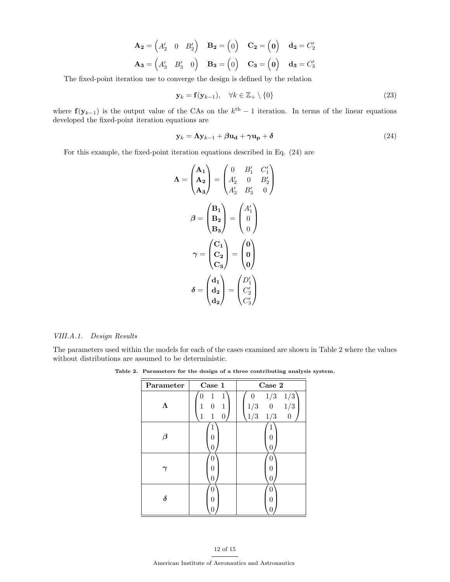$$
\mathbf{A_2} = \begin{pmatrix} A'_2 & 0 & B'_2 \end{pmatrix} \quad \mathbf{B_2} = \begin{pmatrix} 0 \end{pmatrix} \quad \mathbf{C_2} = \begin{pmatrix} 0 \end{pmatrix} \quad \mathbf{d_2} = C'_2
$$

$$
\mathbf{A_3} = \begin{pmatrix} A'_3 & B'_3 & 0 \end{pmatrix} \quad \mathbf{B_3} = \begin{pmatrix} 0 \end{pmatrix} \quad \mathbf{C_3} = \begin{pmatrix} 0 \end{pmatrix} \quad \mathbf{d_3} = C'_3
$$

The fixed-point iteration use to converge the design is defined by the relation

$$
\mathbf{y}_k = \mathbf{f}(\mathbf{y}_{k-1}), \quad \forall k \in \mathbb{Z}_+ \setminus \{0\} \tag{23}
$$

where  $f(y_{k-1})$  is the output value of the CAs on the  $k<sup>th</sup> - 1$  iteration. In terms of the linear equations developed the fixed-point iteration equations are

$$
\mathbf{y}_k = \mathbf{\Lambda} \mathbf{y}_{k-1} + \beta \mathbf{u}_\mathbf{d} + \gamma \mathbf{u}_\mathbf{p} + \delta \tag{24}
$$

For this example, the fixed-point iteration equations described in Eq. (24) are

$$
\Lambda = \begin{pmatrix} A_1 \\ A_2 \\ A_3 \end{pmatrix} = \begin{pmatrix} 0 & B'_1 & C'_1 \\ A'_2 & 0 & B'_2 \\ A'_3 & B'_3 & 0 \end{pmatrix}
$$

$$
\beta = \begin{pmatrix} B_1 \\ B_2 \\ B_3 \end{pmatrix} = \begin{pmatrix} A'_1 \\ 0 \\ 0 \end{pmatrix}
$$

$$
\gamma = \begin{pmatrix} C_1 \\ C_2 \\ C_3 \end{pmatrix} = \begin{pmatrix} 0 \\ 0 \\ 0 \end{pmatrix}
$$

$$
\delta = \begin{pmatrix} d_1 \\ d_2 \\ d_2 \end{pmatrix} = \begin{pmatrix} D'_1 \\ C'_2 \\ C'_3 \end{pmatrix}
$$

#### VIII.A.1. Design Results

The parameters used within the models for each of the cases examined are shown in Table 2 where the values without distributions are assumed to be deterministic.

Table 2. Parameters for the design of a three contributing analysis system.

| Parameter            | Case 1                                           | Case 2                                                                     |
|----------------------|--------------------------------------------------|----------------------------------------------------------------------------|
|                      | 1<br>1<br>0<br>$\theta$<br>1<br>1<br>1<br>1<br>0 | 1/3<br>1/3<br>$\theta$<br>1/3<br>1/3<br>0<br>$1/3$ $1/3$<br>$\overline{0}$ |
| $\boldsymbol{\beta}$ | 0<br>0                                           | L<br>0                                                                     |
|                      | 0<br>0<br>0                                      | 0<br>$\left($                                                              |
| $\delta$             | 0<br>0<br>0                                      | $\left( \right)$<br>ſ<br>U                                                 |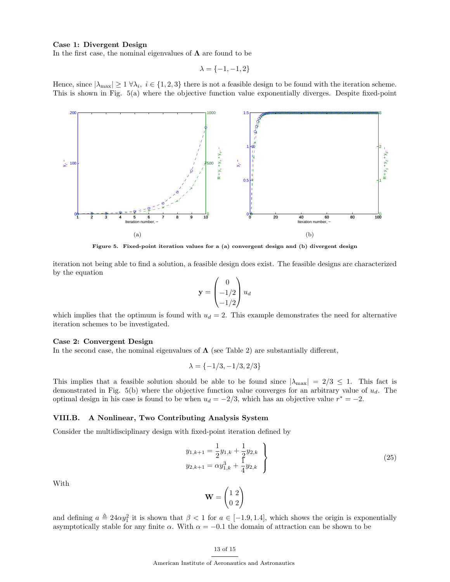## Case 1: Divergent Design

In the first case, the nominal eigenvalues of  $\Lambda$  are found to be

$$
\lambda = \{-1, -1, 2\}
$$

Hence, since  $|\lambda_{\max}| \ge 1 \ \forall \lambda_i, i \in \{1, 2, 3\}$  there is not a feasible design to be found with the iteration scheme. This is shown in Fig. 5(a) where the objective function value exponentially diverges. Despite fixed-point



Figure 5. Fixed-point iteration values for a (a) convergent design and (b) divergent design

iteration not being able to find a solution, a feasible design does exist. The feasible designs are characterized by the equation

$$
\mathbf{y} = \begin{pmatrix} 0 \\ -1/2 \\ -1/2 \end{pmatrix} u_d
$$

which implies that the optimum is found with  $u_d = 2$ . This example demonstrates the need for alternative iteration schemes to be investigated.

## Case 2: Convergent Design

In the second case, the nominal eigenvalues of  $\Lambda$  (see Table 2) are substantially different,

$$
\lambda = \{-1/3, -1/3, 2/3\}
$$

This implies that a feasible solution should be able to be found since  $|\lambda_{\text{max}}| = 2/3 \leq 1$ . This fact is demonstrated in Fig. 5(b) where the objective function value converges for an arbitrary value of  $u_d$ . The optimal design in his case is found to be when  $u_d = -2/3$ , which has an objective value  $r^* = -2$ .

#### VIII.B. A Nonlinear, Two Contributing Analysis System

Consider the multidisciplinary design with fixed-point iteration defined by

$$
y_{1,k+1} = \frac{1}{2}y_{1,k} + \frac{1}{2}y_{2,k}
$$
  
\n
$$
y_{2,k+1} = \alpha y_{1,k}^3 + \frac{1}{4}y_{2,k}
$$
\n(25)

With

$$
\mathbf{W} = \begin{pmatrix} 1 & 2 \\ 0 & 2 \end{pmatrix}
$$

and defining  $a \triangleq 24\alpha y_1^2$  it is shown that  $\beta < 1$  for  $a \in [-1.9, 1.4]$ , which shows the origin is exponentially asymptotically stable for any finite  $\alpha$ . With  $\alpha = -0.1$  the domain of attraction can be shown to be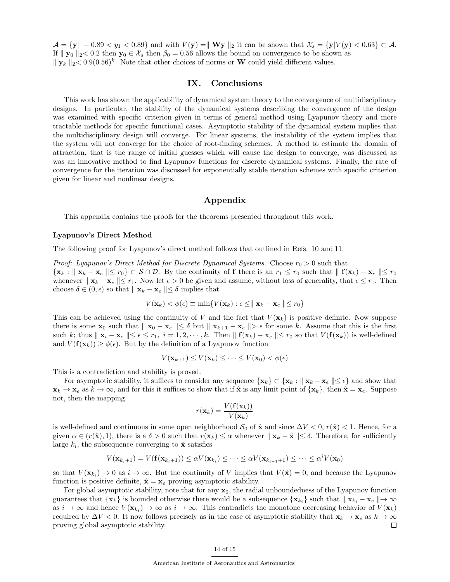$\mathcal{A} = \{y \mid -0.89 < y_1 < 0.89\}$  and with  $V(y) = ||\mathbf{W}y||_2$  it can be shown that  $\mathcal{X}_s = \{y | V(y) < 0.63\} \subset \mathcal{A}$ . If  $||y_0||_2 < 0.2$  then  $y_0 \in \mathcal{X}_s$  then  $\beta_0 = 0.56$  allows the bound on convergence to be shown as  $||\mathbf{y}_k||_2 < 0.9(0.56)^k$ . Note that other choices of norms or **W** could yield different values.

## IX. Conclusions

This work has shown the applicability of dynamical system theory to the convergence of multidisciplinary designs. In particular, the stability of the dynamical systems describing the convergence of the design was examined with specific criterion given in terms of general method using Lyapunov theory and more tractable methods for specific functional cases. Asymptotic stability of the dynamical system implies that the multidisciplinary design will converge. For linear systems, the instability of the system implies that the system will not converge for the choice of root-finding schemes. A method to estimate the domain of attraction, that is the range of initial guesses which will cause the design to converge, was discussed as was an innovative method to find Lyapunov functions for discrete dynamical systems. Finally, the rate of convergence for the iteration was discussed for exponentially stable iteration schemes with specific criterion given for linear and nonlinear designs.

## Appendix

This appendix contains the proofs for the theorems presented throughout this work.

#### Lyapunov's Direct Method

The following proof for Lyapunov's direct method follows that outlined in Refs. 10 and 11.

*Proof: Lyapunov's Direct Method for Discrete Dynamical Systems.* Choose  $r_0 > 0$  such that  $\{x_k : ||x_k - x_{\epsilon}|| \le r_0\} \subset \mathcal{S} \cap \mathcal{D}$ . By the continuity of f there is an  $r_1 \le r_0$  such that  $||f(x_k) - x_{\epsilon}|| \le r_0$ whenever  $\Vert \mathbf{x}_k - \mathbf{x}_e \Vert \leq r_1$ . Now let  $\epsilon > 0$  be given and assume, without loss of generality, that  $\epsilon \leq r_1$ . Then choose  $\delta \in (0, \epsilon)$  so that  $\Vert \mathbf{x}_k - \mathbf{x}_e \Vert \leq \delta$  implies that

$$
V(\mathbf{x}_k) < \phi(\epsilon) \equiv \min \{ V(\mathbf{x}_k) : \epsilon \leq ||\mathbf{x}_k - \mathbf{x}_e|| \leq r_0 \}
$$

This can be achieved using the continuity of V and the fact that  $V(\mathbf{x}_k)$  is positive definite. Now suppose there is some  $\mathbf{x}_0$  such that  $\|\mathbf{x}_0 - \mathbf{x}_e\| \leq \delta$  but  $\|\mathbf{x}_{k+1} - \mathbf{x}_e\| > \epsilon$  for some k. Assume that this is the first such k; thus  $\|\mathbf{x}_i - \mathbf{x}_e\| \leq \epsilon \leq r_1, i = 1, 2, \cdots, k$ . Then  $\|\mathbf{f}(\mathbf{x}_k) - \mathbf{x}_e\| \leq r_0$  so that  $V(\mathbf{f}(\mathbf{x}_k))$  is well-defined and  $V(\mathbf{f}(\mathbf{x}_k)) \geq \phi(\epsilon)$ . But by the definition of a Lyapunov function

$$
V(\mathbf{x}_{k+1}) \leq V(\mathbf{x}_k) \leq \cdots \leq V(\mathbf{x}_0) < \phi(\epsilon)
$$

This is a contradiction and stability is proved.

For asymptotic stability, it suffices to consider any sequence  $\{x_k\} \subset \{x_k : ||x_k - x_{\epsilon}|| \leq \epsilon\}$  and show that  $\mathbf{x}_k \to \mathbf{x}_e$  as  $k \to \infty$ , and for this it suffices to show that if  $\hat{\mathbf{x}}$  is any limit point of  $\{\mathbf{x}_k\}$ , then  $\hat{\mathbf{x}} = \mathbf{x}_e$ . Suppose not, then the mapping

$$
r(\mathbf{x}_k) = \frac{V(\mathbf{f}(\mathbf{x}_k))}{V(\mathbf{x}_k)}
$$

is well-defined and continuous in some open neighborhood  $S_0$  of  $\hat{\mathbf{x}}$  and since  $\Delta V < 0$ ,  $r(\hat{\mathbf{x}}) < 1$ . Hence, for a given  $\alpha \in (r(\hat{\mathbf{x}}), 1)$ , there is a  $\delta > 0$  such that  $r(\mathbf{x}_k) \leq \alpha$  whenever  $\|\mathbf{x}_k - \hat{\mathbf{x}}\| \leq \delta$ . Therefore, for sufficiently large  $k_i$ , the subsequence converging to  $\hat{\mathbf{x}}$  satisfies

$$
V(\mathbf{x}_{k_i+1}) = V(\mathbf{f}(\mathbf{x}_{k_i+1})) \leq \alpha V(\mathbf{x}_{k_i}) \leq \cdots \leq \alpha V(\mathbf{x}_{k_{i-1}+1}) \leq \cdots \leq \alpha^i V(\mathbf{x}_0)
$$

so that  $V(\mathbf{x}_{k_i}) \to 0$  as  $i \to \infty$ . But the continuity of V implies that  $V(\hat{\mathbf{x}}) = 0$ , and because the Lyapunov function is positive definite,  $\hat{\mathbf{x}} = \mathbf{x}_e$  proving asymptotic stability.

For global asymptotic stability, note that for any  $x_0$ , the radial unboundedness of the Lyapunov function guarantees that  $\{x_k\}$  is bounded otherwise there would be a subsequence  $\{x_{k_i}\}$  such that  $\|x_{k_i} - x_e\| \to \infty$ as  $i \to \infty$  and hence  $V(\mathbf{x}_{k_i}) \to \infty$  as  $i \to \infty$ . This contradicts the monotone decreasing behavior of  $V(\mathbf{x}_k)$ required by  $\Delta V < 0$ . It now follows precisely as in the case of asymptotic stability that  $\mathbf{x}_k \to \mathbf{x}_e$  as  $k \to \infty$ proving global asymptotic stability.  $\Box$